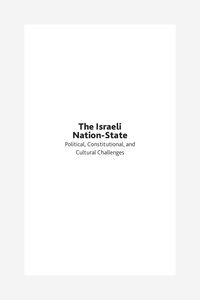# The Israeli Nation-State

Political, Constitutional, and Cultural Challenges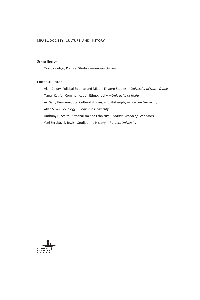#### Israel: Society, Culture, and History

#### **Series Editor:**

Yaacov Yadgar, Political Studies,—*Bar-Ilan University*

#### **Editorial Board:**

Alan Dowty, Political Science and Middle Eastern Studies,—*University of Notre Dame* Tamar Katriel, Communication Ethnography - University of Haifa Avi Sagi, Hermeneutics, Cultural Studies, and Philosophy - Bar-Ilan University Allan Silver, Sociology,—*Columbia University* Anthony D. Smith, Nationalism and Ethnicity,—*London School of Economics* Yael Zerubavel, Jewish Studies and History,—*Rutgers University*

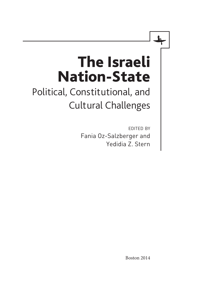# The Israeli Nation-State

Political, Constitutional, and Cultural Challenges

> edited by Fania Oz-Salzberger and Yedidia Z. Stern

> > Boston 2014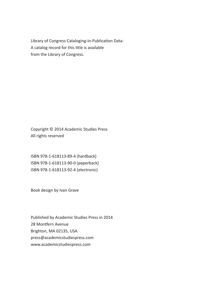Library of Congress Cataloging-in-Publication Data: A catalog record for this title is available from the Library of Congress.

Copyright © 2014 Academic Studies Press All rights reserved

ISBN 978-1-618113-89-4 (hardback) ISBN 978-1-618113-90-0 (paperback) ISBN 978-1-618113-92-4 (electronic)

Book design by Ivan Grave

Published by Academic Studies Press in 2014 28 Montfern Avenue Brighton, MA 02135, USA press@academicstudiespress.com www.academicstudiespress.com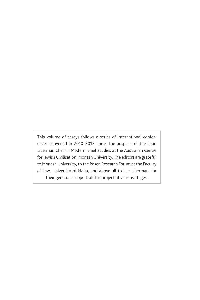This volume of essays follows a series of international conferences convened in 2010–2012 under the auspices of the Leon Liberman Chair in Modern Israel Studies at the Australian Centre for Jewish Civilisation, Monash University. The editors are grateful to Monash University, to the Posen Research Forum at the Faculty of Law, University of Haifa, and above all to Lee Liberman, for their generous support of this project at various stages.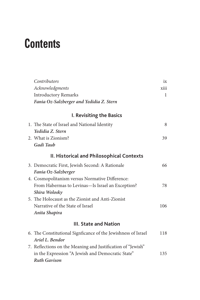# **Contents**

| Contributors                                                  | ix   |
|---------------------------------------------------------------|------|
| Acknowledgments                                               | xiii |
| <b>Introductory Remarks</b>                                   | 1    |
| Fania Oz-Salzberger and Yedidia Z. Stern                      |      |
| I. Revisiting the Basics                                      |      |
| 1. The State of Israel and National Identity                  | 8    |
| Yedidia Z. Stern                                              |      |
| 2. What is Zionism?                                           | 39   |
| Gadi Taub                                                     |      |
| II. Historical and Philosophical Contexts                     |      |
| 3. Democratic First, Jewish Second: A Rationale               | 66   |
| Fania Oz-Salzberger                                           |      |
| 4. Cosmopolitanism versus Normative Difference:               |      |
| From Habermas to Levinas-Is Israel an Exception?              | 78   |
| Shira Wolosky                                                 |      |
| 5. The Holocaust as the Zionist and Anti-Zionist              |      |
| Narrative of the State of Israel                              | 106  |
| Anita Shapira                                                 |      |
| <b>III. State and Nation</b>                                  |      |
| 6. The Constitutional Signficance of the Jewishness of Israel | 118  |
| Ariel L. Bendor                                               |      |
| 7. Reflections on the Meaning and Justification of "Jewish"   |      |
| in the Expression "A Jewish and Democratic State"             | 135  |
| <b>Ruth Gavison</b>                                           |      |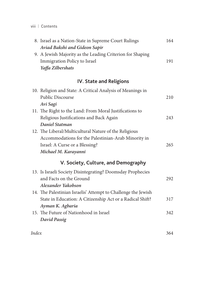viii | Contents

| 8. Israel as a Nation-State in Supreme Court Rulings      | 164 |
|-----------------------------------------------------------|-----|
| Aviad Bakshi and Gideon Sapir                             |     |
| 9. A Jewish Majority as the Leading Criterion for Shaping |     |
| Immigration Policy to Israel                              | 191 |
| Yaffa Zilbershats                                         |     |

# **IV. State and Religions**

| 10. Religion and State: A Critical Analysis of Meanings in    |     |
|---------------------------------------------------------------|-----|
| <b>Public Discourse</b>                                       | 210 |
| Avi Sagi                                                      |     |
| 11. The Right to the Land: From Moral Justifications to       |     |
| Religious Justifications and Back Again                       | 243 |
| Daniel Statman                                                |     |
| 12. The Liberal/Multicultural Nature of the Religious         |     |
| Accommodations for the Palestinian-Arab Minority in           |     |
| Israel: A Curse or a Blessing?                                | 265 |
| Michael M. Karayanni                                          |     |
|                                                               |     |
| V. Society, Culture, and Demography                           |     |
| 13. Is Israeli Society Disintegrating? Doomsday Prophecies    |     |
| and Facts on the Ground                                       | 292 |
| Alexander Yakobson                                            |     |
| 14. The Palestinian Israelis' Attempt to Challenge the Jewish |     |
| State in Education: A Citizenship Act or a Radical Shift?     | 317 |
| Ayman K. Agbaria                                              |     |
| 15. The Future of Nationhood in Israel                        | 342 |
| David Passig                                                  |     |

*Index* 364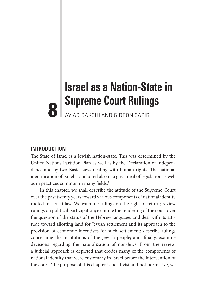# **Israel as a Nation-State in Supreme Court Rulings**

# **INTRODUCTION**

The State of Israel is a Jewish nation-state. This was determined by the United Nations Partition Plan as well as by the Declaration of Independence and by two Basic Laws dealing with human rights. The national identification of Israel is anchored also in a great deal of legislation as well as in practices common in many fields.<sup>1</sup>

In this chapter, we shall describe the attitude of the Supreme Court over the past twenty years toward various components of national identity rooted in Israeli law. We examine rulings on the right of return; review rulings on political participation; examine the rendering of the court over the question of the status of the Hebrew language, and deal with its attitude toward allotting land for Jewish settlement and its approach to the provision of economic incentives for such settlement; describe rulings concerning the institutions of the Jewish people; and, finally, examine decisions regarding the naturalization of non-Jews. From the review, a judicial approach is depicted that erodes many of the components of national identity that were customary in Israel before the intervention of the court. The purpose of this chapter is positivist and not normative, we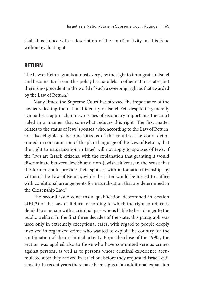shall thus suffice with a description of the court's activity on this issue without evaluating it.

# **RETURN**

The Law of Return grants almost every Jew the right to immigrate to Israel and become its citizen.This policy has parallels in other nation-states, but there is no precedent in the world of such a sweeping right as that awarded by the Law of Return.<sup>2</sup>

Many times, the Supreme Court has stressed the importance of the law as reflecting the national identity of Israel. Yet, despite its generally sympathetic approach, on two issues of secondary importance the court ruled in a manner that somewhat reduces this right. The first matter relates to the status of Jews' spouses, who, according to the Law of Return, are also eligible to become citizens of the country. The court determined, in contradiction of the plain language of the Law of Return, that the right to naturalization in Israel will not apply to spouses of Jews, if the Jews are Israeli citizens, with the explanation that granting it would discriminate between Jewish and non-Jewish citizens, in the sense that the former could provide their spouses with automatic citizenship, by virtue of the Law of Return, while the latter would be forced to suffice with conditional arrangements for naturalization that are determined in the Citizenship Law.<sup>3</sup>

The second issue concerns a qualification determined in Section 2(B)(3) of the Law of Return, according to which the right to return is denied to a person with a criminal past who is liable to be a danger to the public welfare. In the first three decades of the state, this paragraph was used only in extremely exceptional cases, with regard to people deeply involved in organized crime who wanted to exploit the country for the continuation of their criminal activity. From the close of the 1990s, the section was applied also to those who have committed serious crimes against persons, as well as to persons whose criminal experience accumulated after they arrived in Israel but before they requested Israeli citizenship.In recent years there have been signs of an additional expansion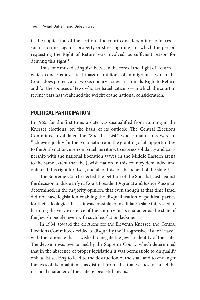in the application of the section. The court considers minor offences such as crimes against property or street fighting—in which the person requesting the Right of Return was involved, as sufficient reason for denying this right.<sup>4</sup>

Thus, one must distinguish between the core of the Right of Return which concerns a critical mass of millions of immigrants—which the Court does protect, and two secondary issues—criminals' Right to Return and for the spouses of Jews who are Israeli citizens—in which the court in recent years has weakened the weight of the national consideration.

# **POLITICAL PARTICIPATION**

In 1965, for the first time, a slate was disqualified from running in the Knesset elections, on the basis of its outlook. The Central Elections Committee invalidated the "Socialist List," whose main aims were to "achieve equality for the Arab nation and the granting of all opportunities to the Arab nation, even on Israeli territory, to express solidarity and partnership with the national liberation waves in the Middle Eastern arena to the same extent that the Jewish nation in this country demanded and obtained this right for itself, and all of this for the benefit of the state."5

The Supreme Court rejected the petition of the Socialist List against the decision to disqualify it. Court President Agranat and Justice Zussman determined, in the majority opinion, that even though at that time Israel did not have legislation enabling the disqualification of political parties for their ideological basis, it was possible to invalidate a slate interested in harming the very existence of the country or its character as the state of the Jewish people, even with such legislation lacking.

In 1984, toward the elections for the Eleventh Knesset, the Central Elections Committee decided to disqualify the "Progressive List for Peace," with the rationale that it wished to negate the Jewish identity of the state. The decision was overturned by the Supreme Court,<sup>6</sup> which determined that in the abscence of proper legislation it was permissible to disqualify only a list seeking to lead to the destruction of the state and to endanger the lives of its inhabitants, as distinct from a list that wishes to cancel the national character of the state by peaceful means.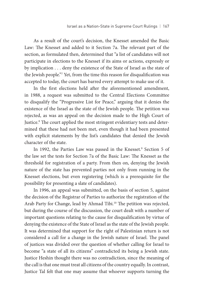As a result of the court's decision, the Knesset amended the Basic Law: The Knesset and added to it Section 7a. The relevant part of the section, as formulated then, determined that "a list of candidates will not participate in elections to the Knesset if its aims or actions, expressly or by implication . . . deny the existence of the State of Israel as the state of the Jewish people."7 Yet, from the time this reason for disqualification was accepted to today, the court has barred every attempt to make use of it.

In the first elections held after the aforementioned amendment, in 1988, a request was submitted to the Central Elections Committee to disqualify the "Progressive List for Peace," arguing that it denies the existence of the Israel as the state of the Jewish people. The petition was rejected, as was an appeal on the decision made to the High Court of Justice.<sup>8</sup> The court applied the most stringent evidentiary tests and determined that these had not been met, even though it had been presented with explicit statements by the list's candidates that denied the Jewish character of the state.

In 1992, the Parties Law was passed in the Knesset.<sup>9</sup> Section 5 of the law set the tests for Section 7a of the Basic Law: The Knesset as the threshold for registration of a party. From then on, denying the Jewish nature of the state has prevented parties not only from running in the Knesset elections, but even registering (which is a prerequisite for the possibility for presenting a slate of candidates).

In 1996, an appeal was submitted, on the basis of section 5, against the decision of the Registrar of Parties to authorize the registration of the Arab Party for Change, lead by Ahmad Tibi.<sup>10</sup> The petition was rejected, but during the course of the discussion, the court dealt with a number of important questions relating to the cause for disqualification by virtue of denying the existence of the State of Israel as the state of the Jewish people. It was determined that support for the right of Palestinian return is not considered a call for a change in the Jewish nature of Israel. The panel of justices was divided over the question of whether calling for Israel to become "a state of all its citizens" contradicted its being a Jewish state. Justice Heshin thought there was no contradiction, since the meaning of the call is that one must treat all citizens of the country equally. In contrast, Justice Tal felt that one may assume that whoever supports turning the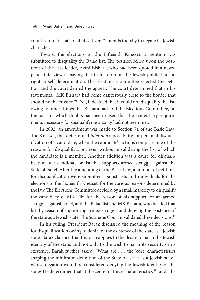country into "a state of all its citizens" intends thereby to negate its Jewish character.

Toward the elections to the Fifteenth Knesset, a petition was submitted to disqualify the Balad list. The petition relied upon the positions of the list's leader, Azmi Bishara, who had been quoted in a newspaper interview as saying that in his opinion the Jewish public had no right to self-determination. The Elections Committee rejected the petition and the court denied the appeal. The court determined that in his statements, "MK Bishara had come dangerously close to the border that should not be crossed."11 Yet, it decided that it could not disqualify the list, owing to other things that Bishara had told the Elections Committee, on the basis of which doubts had been raised that the evidentiary requirements necessary for disqualifying a party had not been met.

In 2002, an amendment was made to Section 7a of the Basic Law: The Knesset, that determined *inter alia* a possibility for personal disqualification of a candidate, when the candidate's actions comprise one of the reasons for disqualification, even without invalidating the list of which the candidate is a member. Another addition was a cause for disqualification of a candidate or list that supports armed struggle against the State of Israel. After the amending of the Basic Law, a number of petitions for disqualification were submitted against lists and individuals for the elections to the Sixteenth Knesset, for the various reasons determined by the law. The Elections Committee decided by a small majority to disqualify the candidacy of MK Tibi for the reason of his support for an armed struggle against Israel, and the Balad list and MK Bishara, who headed that list, by reason of supporting armed struggle and denying the existence of the state as a Jewish state. The Supreme Court invalidated these decisions.12

In his ruling, President Barak discussed the meaning of the reason for disqualification owing to denial of the existence of the state as a Jewish state. Barak clarified that this also applies to the desire to harm the Jewish identity of the state, and not only to the wish to harm its security or its existence. Barak further asked, "What are . . . the 'core' characteristics shaping the minimum definition of the State of Israel as a Jewish state," whose negation would be considered denying the Jewish identity of the state? He determined that at the center of these characteristics "stands the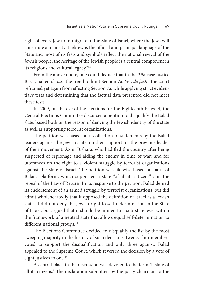right of every Jew to immigrate to the State of Israel, where the Jews will constitute a majority; Hebrew is the official and principal language of the State and most of its fests and symbols reflect the national revival of the Jewish people; the heritage of the Jewish people is a central component in its religious and cultural legacy."13

From the above quote, one could deduce that in the *Tibi* case Justice Barak halted *de jure* the trend to limit Section 7a. Yet, *de facto*, the court refrained yet again from effecting Section 7a, while applying strict evidentiary tests and determining that the factual data presented did not meet these tests.

In 2009, on the eve of the elections for the Eighteenth Knesset, the Central Elections Committee discussed a petition to disqualify the Balad slate, based both on the reason of denying the Jewish identity of the state as well as supporting terrorist organizations.

The petition was based on a collection of statements by the Balad leaders against the Jewish state; on their support for the previous leader of their movement, Azmi Bishara, who had fled the country after being suspected of espionage and aiding the enemy in time of war; and for utterances on the right to a violent struggle by terrorist organizations against the State of Israel. The petition was likewise based on parts of Balad's platform, which supported a state "of all its citizens" and the repeal of the Law of Return. In its response to the petition, Balad denied its endorsement of an armed struggle by terrorist organizations, but did admit wholeheartedly that it opposed the definition of Israel as a Jewish state. It did not deny the Jewish right to self-determination in the State of Israel, but argued that it should be limited to a sub-state level within the framework of a neutral state that allows equal self-determination to different national groups.<sup>14</sup>

The Elections Committee decided to disqualify the list by the most sweeping majority in the history of such decisions: twenty-four members voted to support the disqualification and only three against. Balad appealed to the Supreme Court, which reversed the decision by a vote of eight justices to one.<sup>15</sup>

A central place in the discussion was devoted to the term "a state of all its citizens." The declaration submitted by the party chairman to the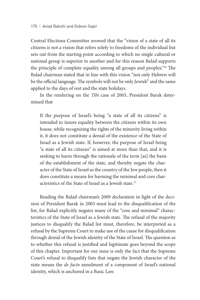Central Elections Committee avowed that the "vision of a state of all its citizens is not a vision that refers solely to freedoms of the individual but sets out from the starting point according to which no single cultural or national group is superior to another and for this reason Balad supports the principle of complete equality among all groups and peoples."16 The Balad chairman stated that in line with this vision "not only Hebrew will be the official language. The symbols will not be only Jewish" and the same applied to the days of rest and the state holidays.

In the rendering on the *Tibi* case of 2003, President Barak determined that

If the purpose of Israel's being "a state of all its citizens" is intended to insure equality between the citizens within its own house, while recognizing the rights of the minority living within it, it does not constitute a denial of the existence of the State of Israel as a Jewish state. If, however, the purpose of Israel being "a state of all its citizens" is aimed at more than that, and it is seeking to harm through the rationale of the term [as] the basis of the establishment of the state, and thereby negate the character of the State of Israel as the country of the Jew people, then it does constitute a means for harming the minimal and core characteristics of the State of Israel as a Jewish state.17

Reading the Balad chairman's 2009 declaration in light of the decision of President Barak in 2003 must lead to the disqualification of the list, for Balad explicitly negates many of the "core and minimal" characteristics of the State of Israel as a Jewish state. The refusal of the majority justices to disqualify the Balad list must, therefore, be interpreted as a refusal by the Supreme Court to make use of the cause for disqualification through denial of the Jewish identity of the State of Israel. The question as to whether this refusal is justified and legitimate goes beyond the scope of this chapter. Important for our issue is only the fact that the Supreme Court's refusal to disqualify lists that negate the Jewish character of the state means the *de facto* annulment of a component of Israel's national identity, which is anchored in a Basic Law.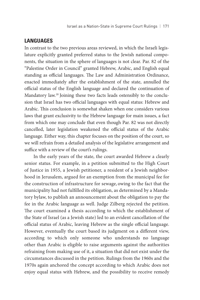# **LANGUAGES**

In contrast to the two previous areas reviewed, in which the Israeli legislature explicitly granted preferred status to the Jewish national components, the situation in the sphere of languages is not clear. Par. 82 of the "Palestine Order in Council" granted Hebrew, Arabic, and English equal standing as official languages. The Law and Administration Ordinance, enacted immediately after the establishment of the state, annulled the official status of the English language and declared the continuation of Mandatory law.18 Joining these two facts leads ostensibly to the conclusion that Israel has two official languages with equal status: Hebrew and Arabic. This conclusion is somewhat shaken when one considers various laws that grant exclusivity to the Hebrew language for main issues, a fact from which one may conclude that even though Par. 82 was not directly cancelled, later legislation weakened the official status of the Arabic language. Either way, this chapter focuses on the position of the court, so we will refrain from a detailed analysis of the legislative arrangement and suffice with a review of the court's rulings.

In the early years of the state, the court awarded Hebrew a clearly senior status. For example, in a petition submitted to the High Court of Justice in 1955, a Jewish petitioner, a resident of a Jewish neighborhood in Jerusalem, argued for an exemption from the municipal fee for the construction of infrastructure for sewage, owing to the fact that the municipality had not fulfilled its obligation, as determined by a Mandatory bylaw, to publish an announcement about the obligation to pay the fee in the Arabic language as well. Judge Zilberg rejected the petition. The court examined a thesis according to which the establishment of the State of Israel (as a Jewish state) led to an evident cancellation of the official status of Arabic, leaving Hebrew as the single official language. However, eventually the court based its judgment on a different view, according to which only someone who understands no language other than Arabic is eligible to raise arguments against the authorities refraining from making use of it, a situation that did not exist under the circumstances discussed in the petition. Rulings from the 1960s and the 1970s again anchored the concept according to which Arabic does not enjoy equal status with Hebrew, and the possibility to receive remedy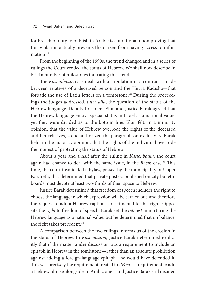for breach of duty to publish in Arabic is conditional upon proving that this violation actually prevents the citizen from having access to information $19$ 

From the beginning of the 1990s, the trend changed and in a series of rulings the Court eroded the status of Hebrew. We shall now describe in brief a number of milestones indicating this trend.

The *Kastenbaum* case dealt with a stipulation in a contract—made between relatives of a deceased person and the Hevra Kadisha—that forbade the use of Latin letters on a tombstone.<sup>20</sup> During the proceedings the judges addressed, *inter alia*, the question of the status of the Hebrew language. Deputy President Elon and Justice Barak agreed that the Hebrew language enjoys special status in Israel as a national value, yet they were divided as to the bottom line. Elon felt, in a minority opinion, that the value of Hebrew overrode the rights of the deceased and her relatives, so he authorized the paragraph on exclusivity. Barak held, in the majority opinion, that the rights of the individual overrode the interest of protecting the status of Hebrew.

About a year and a half after the ruling in *Kastenbaum*, the court again had chance to deal with the same issue, in the *Re'em* case.<sup>21</sup> This time, the court invalidated a bylaw, passed by the municipality of Upper Nazareth, that determined that private posters published on city bulletin boards must devote at least two-thirds of their space to Hebrew.

Justice Barak determined that freedom of speech includes the right to choose the language in which expression will be carried out, and therefore the request to add a Hebrew caption is detrimental to this right. Opposite the *right* to freedom of speech, Barak set the *interest* in nurturing the Hebrew language as a national value, but he determined that on balance, the right takes precedent.<sup>22</sup>

A comparison between the two rulings informs us of the erosion in the status of Hebrew. In *Kastenbaum*, Justice Barak determined explicitly that if the matter under discussion was a requirement to include an epitaph in Hebrew in the tombstone—rather than an absolute prohibition against adding a foreign-language epitaph—he would have defended it. This was precisely the requirement treated in *Re'em*—a requirement to add a Hebrew phrase alongside an Arabic one—and Justice Barak still decided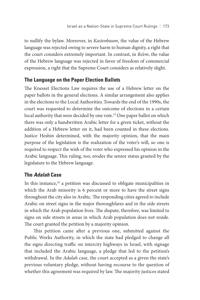to nullify the bylaw. Moreover, in *Kastenbaum*, the value of the Hebrew language was rejected owing to severe harm to human dignity, a right that the court considers extremely important. In contrast, in *Re'em*, the value of the Hebrew language was rejected in favor of freedom of commercial expression, a right that the Supreme Court considers as relatively slight.

# **The Language on the Paper Election Ballots**

The Knesset Elections Law requires the use of a Hebrew letter on the paper ballots in the general elections. A similar arrangement also applies in the elections to the Local Authorities.Towards the end of the 1990s, the court was requested to determine the outcome of elections in a certain local authority that were decided by one vote.<sup>23</sup> One paper ballot on which there was only a handwritten Arabic letter for a given ticket, without the addition of a Hebrew letter on it, had been counted in these elections. Justice Heshin determined, with the majority opinion, that the main purpose of the legislation is the realization of the voter's will, so one is required to respect the wish of the voter who expressed his opinion in the Arabic language. This ruling, too, erodes the senior status granted by the legislature to the Hebrew language.

# **The** *Adalah* **Case**

In this instance, $24$  a petition was discussed to obligate municipalities in which the Arab minority is 6 percent or more to have the street signs throughout the city also in Arabic. The responding cities agreed to include Arabic on street signs in the major thoroughfares and in the side streets in which the Arab population lives. The dispute, therefore, was limited to signs on side streets in areas in which Arab population does not reside. The court granted the petition by a majority opinion.

This petition came after a previous one, submitted against the Public Works Authority, in which the state had pledged to change all the signs directing traffic on intercity highways in Israel, with signage that included the Arabic language, a pledge that led to the petition's withdrawal. In the *Adalah* case, the court accepted as a given the state's previous voluntary pledge, without having recourse to the question of whether this agreement was required by law. The majority justices stated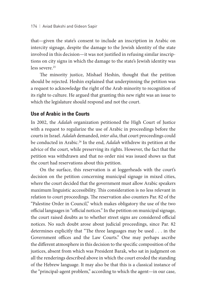that—given the state's consent to include an inscription in Arabic on intercity signage, despite the damage to the Jewish identity of the state involved in this decision—it was not justified in refusing similar inscriptions on city signs in which the damage to the state's Jewish identity was less severe.<sup>25</sup>

The minority justice, Mishael Heshin, thought that the petition should be rejected. Heshin explained that underpinning the petition was a request to acknowledge the right of the Arab minority to recognition of its right to culture. He argued that granting this new right was an issue to which the legislature should respond and not the court.

# **Use of Arabic in the Courts**

In 2002, the *Adalah* organization petitioned the High Court of Justice with a request to regularize the use of Arabic in proceedings before the courts in Israel. *Adalah* demanded, *inter alia*, that court proceedings could be conducted in Arabic.26 In the end, *Adalah* withdrew its petition at the advice of the court, while preserving its rights. However, the fact that the petition was withdrawn and that no order nisi was issued shows us that the court had reservations about this petition.

On the surface, this reservation is at loggerheads with the court's decision on the petition concerning municipal signage in mixed cities, where the court decided that the government must allow Arabic speakers maximum linguistic accessibility. This consideration is no less relevant in relation to court proceedings. The reservation also counters Par. 82 of the "Palestine Order in Council," which makes obligatory the use of the two official languages in "official notices." In the petition on municipal signage, the court raised doubts as to whether street signs are considered official notices. No such doubt arose about judicial proceedings, since Par. 82 determines explicitly that "The three languages may be used . . . in the Government offices and the Law Courts." One may perhaps ascribe the different atmosphere in this decision to the specific composition of the justices, absent from which was President Barak, who sat in judgment on all the renderings described above in which the court eroded the standing of the Hebrew language. It may also be that this is a classical instance of the "principal-agent problem," according to which the agent—in our case,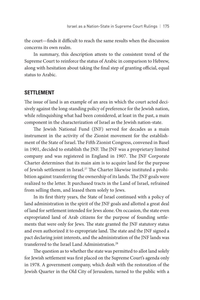the court—finds it difficult to reach the same results when the discussion concerns its own realm.

In summary, this description attests to the consistent trend of the Supreme Court to reinforce the status of Arabic in comparison to Hebrew, along with hesitation about taking the final step of granting official, equal status to Arabic.

# **SETTLEMENT**

The issue of land is an example of an area in which the court acted decisively against the long-standing policy of preference for the Jewish nation, while relinquishing what had been considered, at least in the past, a main component in the characterization of Israel as the Jewish nation-state.

The Jewish National Fund (JNF) served for decades as a main instrument in the activity of the Zionist movement for the establishment of the State of Israel.The Fifth Zionist Congress, convened in Basel in 1901, decided to establish the JNF. The JNF was a proprietary limited company and was registered in England in 1907. The JNF Corporate Charter determines that its main aim is to acquire land for the purpose of Jewish settlement in Israel.27 The Charter likewise instituted a prohibition against transferring the ownership of its lands. The JNF goals were realized to the letter. It purchased tracts in the Land of Israel, refrained from selling them, and leased them solely to Jews.

In its first thirty years, the State of Israel continued with a policy of land administration in the spirit of the JNF goals and allotted a great deal of land for settlement intended for Jews alone. On occasion, the state even expropriated land of Arab citizens for the purpose of founding settlements that were only for Jews. The state granted the JNF statutory status and even authorized it to expropriate land. The state and the JNF signed a pact declaring joint interests, and the administration of the JNF lands was transferred to the Israel Land Administration.28

The question as to whether the state was permitted to allot land solely for Jewish settlement was first placed on the Supreme Court's agenda only in 1978. A government company, which dealt with the restoration of the Jewish Quarter in the Old City of Jerusalem, turned to the public with a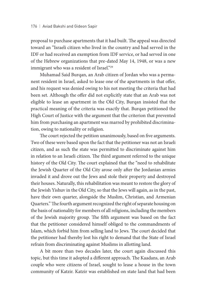proposal to purchase apartments that it had built. The appeal was directed toward an "Israeli citizen who lived in the country and had served in the IDF or had received an exemption from IDF service, or had served in one of the Hebrew organizations that pre-dated May 14, 1948, or was a new immigrant who was a resident of Israel."<sup>29</sup>

Muhamad Said Burqan, an Arab citizen of Jordan who was a permanent resident in Israel, asked to lease one of the apartments in that offer, and his request was denied owing to his not meeting the criteria that had been set. Although the offer did not explicitly state that an Arab was not eligible to lease an apartment in the Old City, Burqan insisted that the practical meaning of the criteria was exactly that. Burqan petitioned the High Court of Justice with the argument that the criterion that prevented him from purchasing an apartment was marred by prohibited discrimination, owing to nationality or religion.

The court rejected the petition unanimously, based on five arguments. Two of these were based upon the fact that the petitioner was not an Israeli citizen, and as such the state was permitted to discriminate against him in relation to an Israeli citizen. The third argument referred to the unique history of the Old City. The court explained that the "need to rehabilitate the Jewish Quarter of the Old City arose only after the Jordanian armies invaded it and drove out the Jews and stole their property and destroyed their houses. Naturally, this rehabilitation was meant to restore the glory of the Jewish Yishuv in the Old City, so that the Jews will again, as in the past, have their own quarter, alongside the Muslim, Christian, and Armenian Quarters." The fourth argument recognized the right of separate housing on the basis of nationality for members of all religions, including the members of the Jewish majority group. The fifth argument was based on the fact that the petitioner considered himself obliged to the commandments of Islam, which forbid him from selling land to Jews. The court decided that the petitioner had thereby lost his right to demand that the State of Israel refrain from discriminating against Muslims in allotting land.

A bit more than two decades later, the court again discussed this topic, but this time it adopted a different approach. The Kaadans, an Arab couple who were citizens of Israel, sought to lease a house in the town community of Katzir. Katzir was established on state land that had been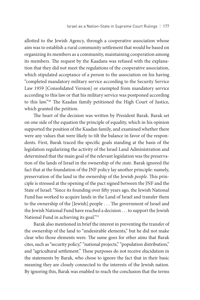allotted to the Jewish Agency, through a cooperative association whose aim was to establish a rural community settlement that would be based on organizing its members as a community, maintaining cooperation among its members. The request by the Kaadans was refused with the explanation that they did not meet the regulations of the cooperative association, which stipulated acceptance of a person to the association on his having "completed mandatory military service according to the Security Service Law 1959 [Consolidated Version] or exempted from mandatory service according to this law or that his military service was postponed according to this law."30 The Kaadan family petitioned the High Court of Justice, which granted the petition.

The heart of the decision was written by President Barak. Barak set on one side of the equation the principle of equality, which in his opinion supported the position of the Kaadan family, and examined whether there were any values that were likely to tilt the balance in favor of the respondents. First, Barak traced the specific goals standing at the basis of the legislation regularizing the activity of the Israel Land Administration and determined that the main goal of the relevant legislation was the preservation of the lands of Israel in the ownership of *the state*. Barak ignored the fact that at the foundation of the JNF policy lay another principle: namely, preservation of the land in the ownership of the Jewish *people.* This principle is stressed at the opening of the pact signed between the JNF and the State of Israel: "Since its founding over fifty years ago, the Jewish National Fund has worked to acquire lands in the Land of Israel and transfer them to the ownership of the [Jewish] people . . . The government of Israel and the Jewish National Fund have reached a decision . . . to support the Jewish National Fund in achieving its goal."31

Barak also mentioned in brief the interest in preventing the transfer of the ownership of the land to "undesirable elements," but he did not make clear who those elements were. The same goes for other aims that Barak cites, such as "security policy," "national projects," "population distribution," and "agricultural settlement." These purposes do not receive elucidation in the statements by Barak, who chose to ignore the fact that in their basic meaning they are closely connected to the interests of the Jewish nation. By ignoring this, Barak was enabled to reach the conclusion that the terms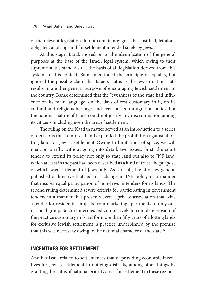of the relevant legislation do not contain any goal that justified, let alone obligated, allotting land for settlement intended solely by Jews.

At this stage, Barak moved on to the identification of the general purposes at the base of the Israeli legal system, which owing to their supreme status stand also at the basis of all legislation derived from this system. In this context, Barak mentioned the principle of equality, but ignored the possible claim that Israel's status as the Jewish nation-state results in another general purpose of encouraging Jewish settlement in the country. Barak determined that the Jewishness of the state had influence on its main language, on the days of rest customary in it, on its cultural and religious heritage, and even on its immigration policy, but the national nature of Israel could not justify any discrimination among its citizens, including even the area of settlement.

The ruling on the Kaadan matter served as an introduction to a series of decisions that reinforced and expanded the prohibition against allotting land for Jewish settlement. Owing to limitations of space, we will mention briefly, without going into detail, two issues. First, the court tended to extend its policy not only to state land but also to JNF land, which at least in the past had been described as a kind of trust, the purpose of which was settlement of Jews only. As a result, the attorney general published a directive that led to a change in JNF policy in a manner that insures equal participation of non-Jews in tenders for its lands. The second ruling determined severe criteria for participating in government tenders in a manner that prevents even a private association that wins a tender for residential projects from marketing apartments to only one national group. Such renderings led cumulatively to complete erosion of the practice customary in Israel for more than fifty years of allotting lands for exclusive Jewish settlement, a practice underpinned by the premise that this was necessary owing to the national character of the state.<sup>32</sup>

# **INCENTIVES FOR SETTLEMENT**

Another issue related to settlement is that of providing economic incentives for Jewish settlement in outlying districts, among other things by granting the status of national priority areas for settlement in these regions.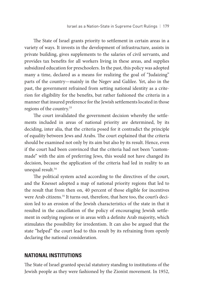The State of Israel grants priority to settlement in certain areas in a variety of ways. It invests in the development of infrastructure, assists in private building, gives supplements to the salaries of civil servants, and provides tax benefits for all workers living in these areas, and supplies subsidized education for preschoolers. In the past, this policy was adopted many a time, declared as a means for realizing the goal of "Judaizing" parts of the country—mainly in the Negev and Galilee. Yet, also in the past, the government refrained from setting national identity as a criterion for eligibility for the benefits, but rather fashioned the criteria in a manner that insured preference for the Jewish settlements located in those regions of the country.33

The court invalidated the government decision whereby the settlements included in areas of national priority are determined, by its deciding, inter alia, that the criteria posed for it contradict the principle of equality between Jews and Arabs. The court explained that the criteria should be examined not only by its aim but also by its result. Hence, even if the court had been convinced that the criteria had not been "custommade" with the aim of preferring Jews, this would not have changed its decision, because the application of the criteria had led in reality to an unequal result.<sup>34</sup>

The political system acted according to the directives of the court, and the Knesset adopted a map of national priority regions that led to the result that from then on, 40 percent of those eligible for incentives were Arab citizens.<sup>35</sup> It turns out, therefore, that here too, the court's decision led to an erosion of the Jewish characteristics of the state in that it resulted in the cancellation of the policy of encouraging Jewish settlement in outlying regions or in areas with a definite Arab majority, which stimulates the possibility for irredentism. It can also be argued that the state "helped" the court lead to this result by its refraining from openly declaring the national consideration.

# **NATIONAL INSTITUTIONS**

The State of Israel granted special statutory standing to institutions of the Jewish people as they were fashioned by the Zionist movement. In 1952,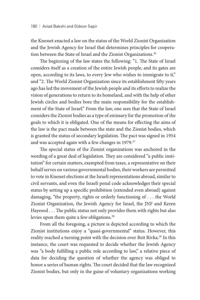the Knesset enacted a law on the status of the World Zionist Organization and the Jewish Agency for Israel that determines principles for cooperation between the State of Israel and the Zionist Organizations.<sup>36</sup>

The beginning of the law states the following: "1. The State of Israel considers itself as a creation of the entire Jewish people, and its gates are open, according to its laws, to every Jew who wishes to immigrate to it," and "2. The World Zionist Organization since its establishment fifty years ago has led the movement of the Jewish people and its efforts to realize the vision of generations to return to its homeland, and with the help of other Jewish circles and bodies bore the main responsibility for the establishment of the State of Israel." From the law, one sees that the State of Israel considers the Zionist bodies as a type of emissary for the promotion of the goals to which it is obligated. One of the means for effecting the aims of the law is the pact made between the state and the Zionist bodies, which is granted the status of secondary legislation. The pact was signed in 1954 and was accepted again with a few changes in 1979.<sup>37</sup>

The special status of the Zionist organizations was anchored in the wording of a great deal of legislation. They are considered "a public institution" for certain matters, exempted from taxes, a representative on their behalf serves on various governmental bodies, their workers are permitted to vote in Knesset elections at the Israeli representations abroad, similar to civil servants, and even the Israeli penal code acknowledges their special status by setting up a specific prohibition (extended even abroad) against damaging, "the property, rights or orderly functioning of . . . the World Zionist Organization, the Jewish Agency for Israel, the JNF and Keren Hayesod . . . The public status not only provides them with rights but also levies upon them quite a few obligations.<sup>38</sup>

From all the foregoing, a picture is depicted according to which the Zionist institutions enjoy a "quasi-governmental" status. However, this reality reached a turning point with the decision over Beit Rivka.<sup>39</sup> In this instance, the court was requested to decide whether the Jewish Agency was "a body fulfilling a public role according to law," a relative piece of data for deciding the question of whether the agency was obliged to honor a series of human rights. The court decided that the law recognized Zionist bodies, but only in the guise of voluntary organizations working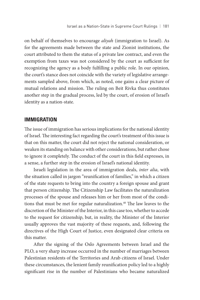on behalf of themselves to encourage *aliyah* (immigration to Israel). As for the agreements made between the state and Zionist institutions, the court attributed to them the status of a private law contract, and even the exemption from taxes was not considered by the court as sufficient for recognizing the agency as a body fulfilling a public role. In our opinion, the court's stance does not coincide with the variety of legislative arrangements sampled above, from which, as noted, one gains a clear picture of mutual relations and mission. The ruling on Beit Rivka thus constitutes another step in the gradual process, led by the court, of erosion of Israel's identity as a nation-state.

# **IMMIGRATION**

The issue of immigration has serious implications for the national identity of Israel. The interesting fact regarding the court's treatment of this issue is that on this matter, the court did not reject the national consideration, or weaken its standing on balance with other considerations, but rather chose to ignore it completely. The conduct of the court in this field expresses, in a sense, a further step in the erosion of Israel's national identity.

Israeli legislation in the area of immigration deals, *inter alia*, with the situation called in jargon "reunification of families," in which a citizen of the state requests to bring into the country a foreign spouse and grant that person citizenship. The Citizenship Law facilitates the naturalization processes of the spouse and releases him or her from most of the conditions that must be met for regular naturalization.<sup>40</sup> The law leaves to the discretion of the Minister of the Interior, in this case too, whether to accede to the request for citizenship, but, in reality, the Minister of the Interior usually approves the vast majority of these requests, and, following the directives of the High Court of Justice, even designated clear criteria on this matter.

After the signing of the Oslo Agreements between Israel and the PLO, a very sharp increase occurred in the number of marriages between Palestinian residents of the Territories and Arab citizens of Israel. Under these circumstances, the lenient family reunification policy led to a highly significant rise in the number of Palestinians who became naturalized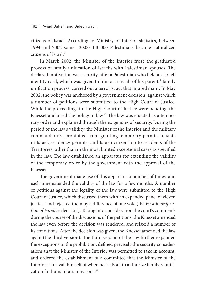citizens of Israel. According to Ministry of Interior statistics, between 1994 and 2002 some 130,00–140,000 Palestinians became naturalized citizens of Israel.41

In March 2002, the Minister of the Interior froze the graduated process of family unification of Israelis with Palestinian spouses. The declared motivation was security, after a Palestinian who held an Israeli identity card, which was given to him as a result of his parents' family unification process, carried out a terrorist act that injured many. In May 2002, the policy was anchored by a government decision, against which a number of petitions were submitted to the High Court of Justice. While the proceedings in the High Court of Justice were pending, the Knesset anchored the policy in law.42 The law was enacted as a temporary order and explained through the exigencies of security. During the period of the law's validity, the Minister of the Interior and the military commander are prohibited from granting temporary permits to state in Israel, residency permits, and Israeli citizenship to residents of the Territories, other than in the most limited exceptional cases as specified in the law. The law established an apparatus for extending the validity of the temporary order by the government with the approval of the Knesset.

The government made use of this apparatus a number of times, and each time extended the validity of the law for a few months. A number of petitions against the legality of the law were submitted to the High Court of Justice, which discussed them with an expanded panel of eleven justices and rejected them by a difference of one vote (the *First Reunification of Families* decision). Taking into consideration the court's comments during the course of the discussions of the petitions, the Knesset amended the law even before the decision was rendered, and relaxed a number of its conditions. After the decision was given, the Knesset amended the law again (the third version). The third version of the law further expanded the exceptions to the prohibition, defined precisely the security considerations that the Minister of the Interior was permitted to take in account, and ordered the establishment of a committee that the Minister of the Interior is to avail himself of when he is about to authorize family reunification for humanitarian reasons.43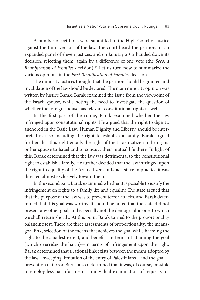A number of petitions were submitted to the High Court of Justice against the third version of the law. The court heard the petitions in an expanded panel of eleven justices, and on January 2012 handed down its decision, rejecting them, again by a difference of one vote (the *Second Reunification of Families* decision).44 Let us turn now to summarize the various opinions in the *First Reunification of Families* decision.

The minority justices thought that the petition should be granted and invalidation of the law should be declared. The main minority opinion was written by Justice Barak. Barak examined the issue from the viewpoint of the Israeli spouse, while noting the need to investigate the question of whether the foreign spouse has relevant constitutional rights as well.

In the first part of the ruling, Barak examined whether the law infringed upon constitutional rights. He argued that the right to dignity, anchored in the Basic Law: Human Dignity and Liberty, should be interpreted as also including the right to establish a family. Barak argued further that this right entails the right of the Israeli citizen to bring his or her spouse to Israel and to conduct their mutual life there. In light of this, Barak determined that the law was detrimental to the constitutional right to establish a family. He further decided that the law infringed upon the right to equality of the Arab citizens of Israel, since in practice it was directed almost exclusively toward them.

In the second part, Barak examined whether it is possible to justify the infringement on rights to a family life and equality. The state argued that that the purpose of the law was to prevent terror attacks, and Barak determined that this goal was worthy. It should be noted that the state did not present any other goal, and especially not the demographic one, to which we shall return shortly. At this point Barak turned to the proportionality balancing test. There are three assessments of proportionality: the meansgoal link, selection of the means that achieves the goal while harming the right to the smallest extent, and benefit—in terms of attaining the goal (which overrides the harm)—in terms of infringement upon the right. Barak determined that a rational link exists between the means adopted by the law—sweeping limitation of the entry of Palestinians—and the goal prevention of terror. Barak also determined that it was, of course, possible to employ less harmful means—individual examination of requests for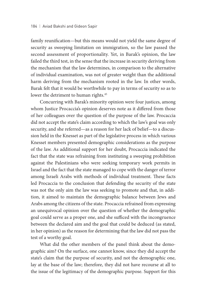family reunification—but this means would not yield the same degree of security as sweeping limitation on immigration, so the law passed the second assessment of proportionality. Yet, in Barak's opinion, the law failed the third test, in the sense that the increase in security deriving from the mechanism that the law determines, in comparison to the alternative of individual examination, was not of greater weight than the additional harm deriving from the mechanism rooted in the law. In other words, Barak felt that it would be worthwhile to pay in terms of security so as to lower the detriment to human rights.<sup>45</sup>

Concurring with Barak's minority opinion were four justices, among whom Justice Procaccia's opinion deserves note as it differed from those of her colleagues over the question of the purpose of the law. Procaccia did not accept the state's claim according to which the law's goal was only security, and she referred—as a reason for her lack of belief—to a discussion held in the Knesset as part of the legislative process in which various Knesset members presented demographic considerations as the purpose of the law. As additional support for her doubt, Procaccia indicated the fact that the state was refraining from instituting a sweeping prohibition against the Palestinians who were seeking temporary work permits in Israel and the fact that the state managed to cope with the danger of terror among Israeli Arabs with methods of individual treatment. These facts led Procaccia to the conclusion that defending the security of the state was not the only aim the law was seeking to promote and that, in addition, it aimed to maintain the demographic balance between Jews and Arabs among the citizens of the state. Procaccia refrained from expressing an unequivocal opinion over the question of whether the demographic goal could serve as a proper one, and she sufficed with the incongruence between the declared aim and the goal that could be deduced (as stated, in her opinion) as the reason for determining that the law did not pass the test of a worthy goal.

What did the other members of the panel think about the demographic aim? On the surface, one cannot know, since they did accept the state's claim that the purpose of security, and not the demographic one, lay at the base of the law; therefore, they did not have recourse at all to the issue of the legitimacy of the demographic purpose. Support for this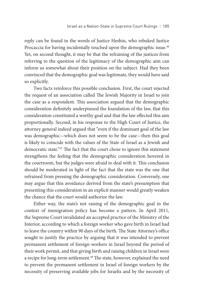reply can be found in the words of Justice Heshin, who rebuked Justice Procaccia for having incidentally touched upon the demographic issue.<sup>46</sup> Yet, on second thought, it may be that the refraining of the justices from referring to the question of the legitimacy of the demographic aim can inform us somewhat about their position on the subject. Had they been convinced that the demographic goal was legitimate, they would have said so explicitly.

Two facts reinforce this possible conclusion. First, the court rejected the request of an association called The Jewish Majority in Israel to join the case as a respondent. This association argued that the demographic consideration definitely underpinned the foundation of the law, that this consideration constituted a worthy goal and that the law effected this aim proportionally. Second, in his response to the High Court of Justice, the attorney general indeed argued that "even if the dominant goal of the law was demographic—which does not seem to be the case—then this goal is likely to coincide with the values of the State of Israel as a Jewish and democratic state."47 The fact that the court chose to ignore this statement strengthens the feeling that the demographic consideration hovered in the courtroom, but the judges were afraid to deal with it. This conclusion should be moderated in light of the fact that the state was the one that refrained from pressing the demographic consideration. Conversely, one may argue that this avoidance derived from the state's presumption that presenting this consideration in an explicit manner would greatly weaken the chance that the court would authorize the law.

Either way, the state's not raising of the demographic goal in the context of immigration policy has become a pattern. In April 2011, the Supreme Court invalidated an accepted practice of the Ministry of the Interior, according to which a foreign worker who gave birth in Israel had to leave the country within 90 days of the birth. The State Attorney's office sought to justify the practice by arguing that it was intended to prevent permanent settlement of foreign workers in Israel beyond the period of their work permit, and that giving birth and raising children in Israel were a recipe for long-term settlement.<sup>48</sup> The state, however, explained the need to prevent the permanent settlement in Israel of foreign workers by the necessity of preserving available jobs for Israelis and by the necessity of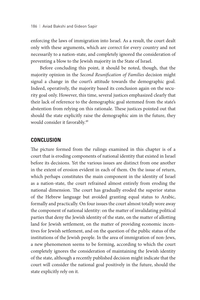enforcing the laws of immigration into Israel. As a result, the court dealt only with these arguments, which are correct for every country and not necessarily to a nation-state, and completely ignored the consideration of preventing a blow to the Jewish majority in the State of Israel.

Before concluding this point, it should be noted, though, that the majority opinion in the *Second Reunification of Families* decision might signal a change in the court's attitude towards the demographic goal. Indeed, operatively, the majority based its conclusion again on the security goal only. However, this time, several justices emphasized clearly that their lack of reference to the demographic goal stemmed from the state's abstention from relying on this rationale. These justices pointed out that should the state explicitly raise the demographic aim in the future, they would consider it favorably.<sup>49</sup>

# **CONCLUSION**

The picture formed from the rulings examined in this chapter is of a court that is eroding components of national identity that existed in Israel before its decisions. Yet the various issues are distinct from one another in the extent of erosion evident in each of them. On the issue of return, which perhaps constitutes the main component in the identity of Israel as a nation-state, the court refrained almost entirely from eroding the national dimension. The court has gradually eroded the superior status of the Hebrew language but avoided granting equal status to Arabic, formally and practically. On four issues the court almost totally wore away the component of national identity: on the matter of invalidating political parties that deny the Jewish identity of the state, on the matter of allotting land for Jewish settlement, on the matter of providing economic incentives for Jewish settlement, and on the question of the public status of the institutions of the Jewish people. In the area of immigration of non-Jews, a new phenomenon seems to be forming, according to which the court completely ignores the consideration of maintaining the Jewish identity of the state, although a recently published decision might indicate that the court will consider the national goal positively in the future, should the state explicitly rely on it.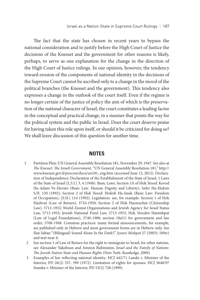The fact that the state has chosen in recent years to bypass the national consideration and to justify before the High Court of Justice the decisions of the Knesset and the government for other reasons is likely, perhaps, to serve as one explanation for the change in the direction of the High Court of Justice rulings. In our opinion, however, the tendency toward erosion of the components of national identity in the decisions of the Supreme Court cannot be ascribed only to a change in the mood of the political branches (the Knesset and the government). This tendency also expresses a change in the outlook of the court itself. Even if the regime is no longer certain of the justice of policy the aim of which is the preservation of the national character of Israel, the court constitutes a leading factor in the conceptual and practical change, in a manner that points the way for the political system and the public in Israel. Does the court deserve praise for having taken this role upon itself, or should it be criticized for doing so? We shall leave discussion of this question for another time.

### **NOTES**

- 1 Partition Plan: UN General Assembly Resolution 181, November 29, 1947. See also at *The Knesset: The Israeli Government*, "UN General Assembly Resolution 181," http:// www.knesset.gov.il/process/docs/un181\_eng.htm (accessed June 12, 2012). Declaration of Independence: Declaration of the Establishment of the State of Israel, 1 Laws of the State of Israel [L.S.I.] 3, 4 (1948). Basic Laws: Section 1A of Hok Yesod: Kevod Ha-Adam Ve-Heruto (Basic Law: Human Dignity and Liberty), Sefer Ha-Hukim S.H. 150 (1992); Section 2 of Hok Yesod: Hofesh Ha-Issuk (Basic Law: Freedom of Occupation), [S.H.] 114 (1992). Legislation: see, for example: Section 1 of Hok Hashvut (Law of Return), 5710-1950; Section 2 of Hok Haezrachut (Citizenship Law), 5712-1952; World Zionist Organizations and Jewish Agency for Israel Status Law, 5713-1952; Jewish National Fund Law, 5713-1953; Hok Yesodot Hamishpat (Law of Legal Foundations), 5740-1980; section 18a(1) for government and law order, 5708-1948. Common practices: many formal announcements, for example, are published only in Hebrew and most government forms are in Hebrew only. See Ilan Saban "(Bilingual) Sound Alone In the Dark?," *Iyunei Mishpat* 27 (2003): 109n1 and text near it.
- 2 See section 1 of Law of Return for the right to immigrate to Israel; for other nations, see Alexander Yakobson and Amnon Rubinstein, *Israel and the Family of Nations: The Jewish Nation State and Human Rights* (New York: Routledge, 2009).
- 3 Examples of law reflecting national identity: HCJ 442/71 Lanski v. Minister of the Interior, PD 26(2) 337, 399 (1972). Limitation of rights for spouses: HCJ 3648/97 Stamka v. Minister of the Interior, PD 53(2) 728 (1999).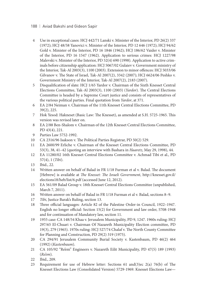#### 188 | Aviad Bakshi and Gideon Sapir

- 4 Use in exceptional cases: HCJ 442/71 Lanski v. Minister of the Interior, PD 26(2) 337 (1972); HCJ 48/58 Yanovici v. Minister of the Interior, PD 12 646 (1972); HCJ 94/62 Gold v. Minister of the Interior, PD 16 1846 (1962); HCJ 186/62 Vaider v. Minister of the Interior, PD 16 1547 (1962). Application to serious crimes: HCJ 1227/98 Malevski v. Minister of the Interior, PD 52(4) 690 (1998). Application to active criminals before citizenship application: HCJ 5067/02 Gulaiev v. Government ministry of the Interior, Tak-Al 2003(3), 1100 (2003). Extension to minor offences: HCJ 5033/06 Gilvanov v. The State of Israel, Tak-Al 2007(2), 3342 (2007); HCJ 6624/06 Peshko v. Government Ministry of the Interior, Tak-Al 2007(2), 2183 (2007).
- 5 Disqualification of slate: HCJ 1/65 Yardor v. Chairman of the Sixth Knesset Central Elections Committee, Tak-Al 2003(3), 1100 (2003) (*Yardor*). The Central Elections Committee is headed by a Supreme Court justice and consists of representatives of the various political parties. Final quotation from *Yardor*, at 371.
- 6 EA 2/84 Neiman v. Chairman of the 11th Knesset Central Elections Committee, PD 39(2), 225.
- 7 Hok Yesod: Hakneset (Basic Law: The Knesset), as amended at S.H. 5725-1965. This version was revised later on.
- 8 EA 2/88 Ben-Shalom v. Chairman of the 12th Knesset Central Elections Committee, PD 43(4), 221.
- 9 Parties Law 5752-1992.
- 10 CA 2316/96 Isakson v. The Political Parties Registrar, PD 50(2) 529.
- 11 EA 2600/99 Erliche v. Chairman of the Knesset Central Elections Committee, PD 53(3), 38, 41–42 (quoting an interview with Bashara in *Haaretz*, May 29, 1998), 44.
- 12 EA 11280/02 16th Knesset Central Elections Committee v. Achmad Tibi et al., PD 57(4), 1 (*Tibi*).
- 13 Ibid., 22.
- 14 Written answer on behalf of Balad in FR 1/18 Furman et al v. Balad. The document [Hebrew] is available at *The Knesset: The Israeli Government*, http://knesset.gov.il/ elections18/heb/list/6.pdf (accessed June 12, 2012)*.*
- 15 EA 561/09 Balad Group v. 18th Knesset Central Elections Committee (unpublished, March 7, 2011).
- 16 Written answer on behalf of Balad in FR 1/18 Furman et al v. Balad, sections 8–9.
- 17 *Tibi*, Justice Barak's Ruling, section 13.
- 18 Three official languages: Article 82 of the Palestine Order-in Council, 1922–1947. English no longer official: Section 15(2) for Government and law order, 5708-1948 and for continuation of Mandatory law, section 11.
- 19 1955 case: CA 148/54 Khaa v. Jerusalem Municipality, PD 9, 1247. 1960s ruling: HCJ 297/65 El-Chuari v. Chairman Of Nazareth Municipality Election committee, PD 19(3), 279 (1965). 1970s ruling: HCJ 527/74 Chalaf v. The North County Committee for Planning and Construction, PD 29(2) 319 (1975).
- 20 CA 294/91 Jerusalem Community Burial Society v. Kastenbaum, PD 46(2) 464 (1992) (*Kastenbaum*).
- 21 CA 105/92 "Re'em" Engineers v. Nazareth Eilit Municipality, PD 47(5) 189 (1993) (*Re'em*).
- 22 Ibid., 209.
- 23 Requirement for use of Hebrew letter: Sections 61 and(3)ec 2(a) 76(b) of The Knesset Elections Law (Consolidated Version) 5729-1969. Knesset Elections Law—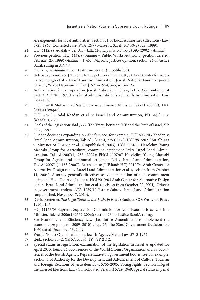Arrangements for local authorities: Section 51 of Local Authorities (Elections) Law, 5725-1965. Contested case: PCA 12/99 Mareei v. Savek, PD 53(2) 128 (1999).

- 24 HCJ 4112/99 Adalah v. Tel-Aviv-Jaffa Municipality, PD 56(5) 393 (2002) (*Adalah*).
- 25 Previous petition: HCJ 4438/97 *Adalah* v. Public Works Authority (petition deleted, February 25, 1999) (*Adalah v. PWA*). Majority justices opinion: section 24 of Justice Barak ruling in *Adalah.*
- 26 HCJ 792/02 *Adalah* v. Courts Administrator (unpublished).
- 27 JNF background: see JNF reply to the petition at HCJ 9010/04 Arab Center for Alternative Design et al v. Israel Land Administration. Jewish National Fund Corporate Charter, Yalkut Hapirsumim [Y.P.], 5714-1954, 345, section 3a.
- 28 Authorization for expropriation: Jewish National Fund law, 5713-1953. Joint interest pact: Y.P. 5728, 1597. Transfer of administration: Israel Lands Administration Law, 5720-1960.
- 29 HCJ 114/78 Muhammad Saaid Burqan v. Finance Minister, Tak-Al 2003(3), 1100 (2003) (*Burqan*).
- 30 HCJ 6698/95 Adal Kaadan et al. v. Israel Land Administration, PD 54(1), 258 (*Kaadan*), 265
- 31 Goals of the legislation: ibid., 272. The Treaty between JNF and the State of Israel, Y.P. 5728, 1597.
- 32 Further decisions expanding on *Kaadan*: see, for example, HCJ 8060/03 Kaadan v. Israel Land Administration, Tak-Al 2(2006), 775 (2006); HCJ 9818/02 Abu-alhigga v. Minister of Finance et al., (unpublished, 2003); HCJ 7574/06 Hasolelim Young Maccabi Group for Agricultural communal settlement Ltd v. Israel Land Administration, Tak-Al 2007(1) 758 (2007); FHCJ 1107/07 Hasolelim Young Maccabi Group for Agricultural communal settlement Ltd v. Israel Land Administration, Tak-Al 2007(1) 4183 (2007). Extension to JNF land: HCJ 9010/04 Arab Center for Alternative Design et al. v. Israel Land Administration et al. (decision from October 11, 2004). Attorney general's directive: see documentation of state commitment facing the High Court of Justice at HCJ 9010/04 Arab Center for Alternative Design et al. v. Israel Land Administration et al. (decision from October 20, 2004). Criteria in government tenders: APA 1789/10 Esther Saba v. Israel Land Administration (unpublished, November 7, 2010).
- 33 David Kretzmer, *The Legal Status of the Arabs in Israel* (Boulder, CO: Westview Press, 1990), 107.
- 34 HCJ 11163/03 Supreme Supervision Commission for Arab Issues in Israel v. Prime Minister, Tak-Al 2006(1) 2562(2006); section 23 for Justice Barak's ruling.
- 35 See Economic and Efficiency Law (Legislative Amendments to implement the economic program for 2009–2010) chap. 26; The 32nd Government Decision No. 1060 dated December 13, 2009.
- 36 World Zionist Organization and Jewish Agency Status Law, 5713-1952.
- 37 Ibid., sections 1–2. YP, 5715, 386, 187; YP, 2172.
- 38 Special status in legislation: examination of the legislation in Israel as updated for April 2010, found 54 occurrences of the World Zionist Organization and 88 occurrences of the Jewish Agency. Representative on government bodies: see, for example, Section 8 of Authority for the Development and Advancement of Culture, Tourism and Foreign Relations of Jerusalem Law, 5766-2005. Voting rights: Section 116g of the Knesset Elections Law (Consolidated Version) 5729-1969. Special status in penal